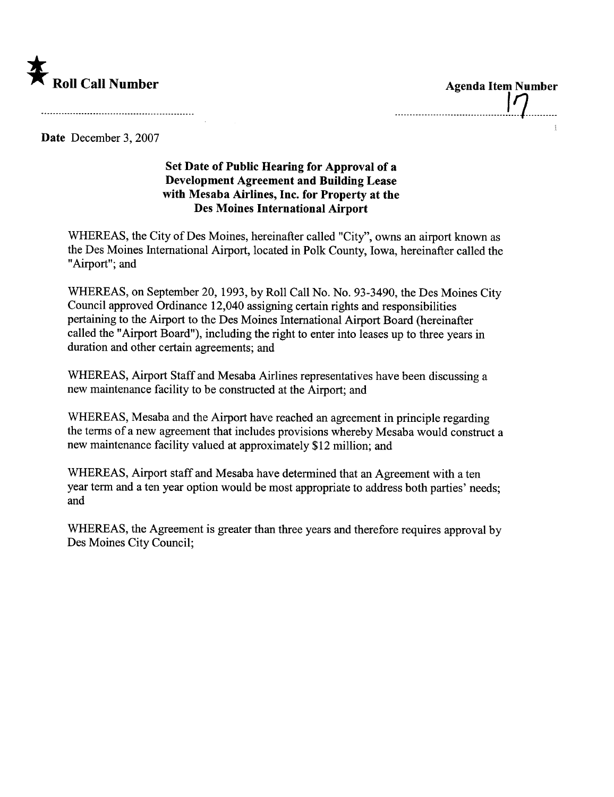

--------------------------------------J-1----------

Date December 3, 2007

## Set Date of Public Hearing for Approval of a Development Agreement and Building Lease with Mesaba Airlines, Inc. for Property at the Des Moines International Airport

WHEREAS, the City of Des Moines, hereinafter called "City", owns an airport known as the Des Moines International Airport, located in Polk County, Iowa, hereinafter called the "Airport"; and

WHEREAS, on September 20, 1993, by Roll Call No. No. 93-3490, the Des Moines City Council approved Ordinance 12,040 assigning certain rights and responsibilities pertaining to the Airport to the Des Moines International Airport Board (hereinafter called the "Airport Board"), including the right to enter into leases up to three years in duration and other certain agreements; and

WHEREAS, Airport Staff and Mesaba Airlines representatives have been discussing a new maintenance facility to be constructed at the Airport; and

WHEREAS, Mesaba and the Airport have reached an agreement in principle regarding the terms of a new agreement that includes provisions whereby Mesaba would construct a new maintenance facility valued at approximately \$12 million; and

WHEREAS, Airport staff and Mesaba have determined that an Agreement with a ten year term and a ten year option would be most appropriate to address both paries' needs; and

WHEREAS, the Agreement is greater than three years and therefore requires approval by Des Moines City Council;